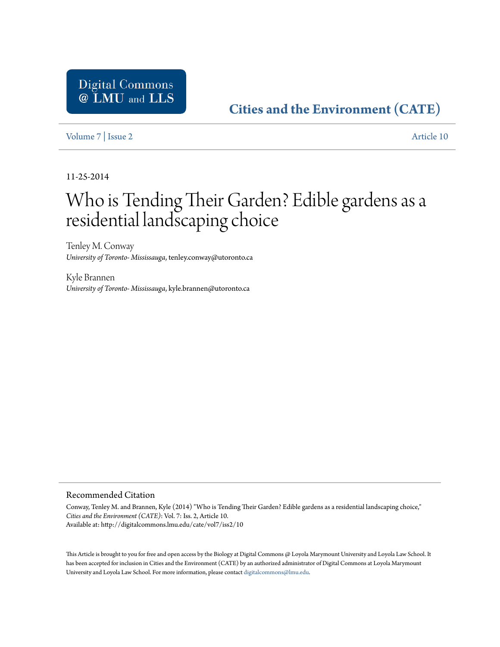# **[Cities and the Environment \(CATE\)](http://digitalcommons.lmu.edu/cate)**

[Volume 7](http://digitalcommons.lmu.edu/cate/vol7) | [Issue 2](http://digitalcommons.lmu.edu/cate/vol7/iss2) [Article 10](http://digitalcommons.lmu.edu/cate/vol7/iss2/10)

11-25-2014

# Who is Tending Their Garden? Edible gardens as a residential landscaping choice

Tenley M. Conway *University of Toronto- Mississauga*, tenley.conway@utoronto.ca

Kyle Brannen *University of Toronto- Mississauga*, kyle.brannen@utoronto.ca

#### Recommended Citation

Conway, Tenley M. and Brannen, Kyle (2014) "Who is Tending Their Garden? Edible gardens as a residential landscaping choice," *Cities and the Environment (CATE)*: Vol. 7: Iss. 2, Article 10. Available at: http://digitalcommons.lmu.edu/cate/vol7/iss2/10

This Article is brought to you for free and open access by the Biology at Digital Commons @ Loyola Marymount University and Loyola Law School. It has been accepted for inclusion in Cities and the Environment (CATE) by an authorized administrator of Digital Commons at Loyola Marymount University and Loyola Law School. For more information, please contact [digitalcommons@lmu.edu](mailto:digitalcommons@lmu.edu).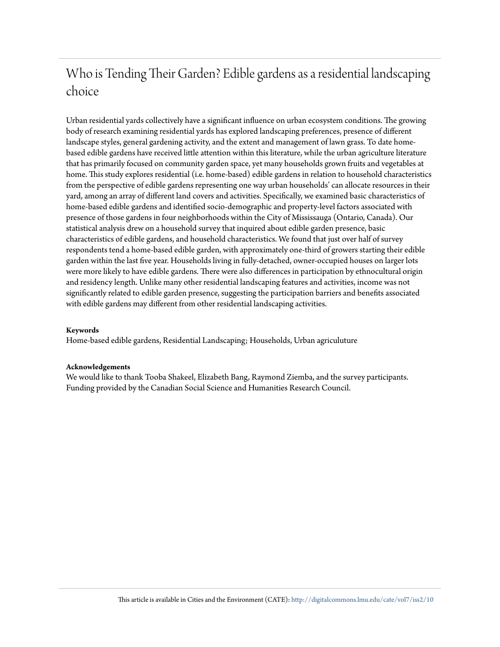# Who is Tending Their Garden? Edible gardens as a residential landscaping choice

Urban residential yards collectively have a significant influence on urban ecosystem conditions. The growing body of research examining residential yards has explored landscaping preferences, presence of different landscape styles, general gardening activity, and the extent and management of lawn grass. To date homebased edible gardens have received little attention within this literature, while the urban agriculture literature that has primarily focused on community garden space, yet many households grown fruits and vegetables at home. This study explores residential (i.e. home-based) edible gardens in relation to household characteristics from the perspective of edible gardens representing one way urban households' can allocate resources in their yard, among an array of different land covers and activities. Specifically, we examined basic characteristics of home-based edible gardens and identified socio-demographic and property-level factors associated with presence of those gardens in four neighborhoods within the City of Mississauga (Ontario, Canada). Our statistical analysis drew on a household survey that inquired about edible garden presence, basic characteristics of edible gardens, and household characteristics. We found that just over half of survey respondents tend a home-based edible garden, with approximately one-third of growers starting their edible garden within the last five year. Households living in fully-detached, owner-occupied houses on larger lots were more likely to have edible gardens. There were also differences in participation by ethnocultural origin and residency length. Unlike many other residential landscaping features and activities, income was not significantly related to edible garden presence, suggesting the participation barriers and benefits associated with edible gardens may different from other residential landscaping activities.

#### **Keywords**

Home-based edible gardens, Residential Landscaping; Households, Urban agriculuture

#### **Acknowledgements**

We would like to thank Tooba Shakeel, Elizabeth Bang, Raymond Ziemba, and the survey participants. Funding provided by the Canadian Social Science and Humanities Research Council.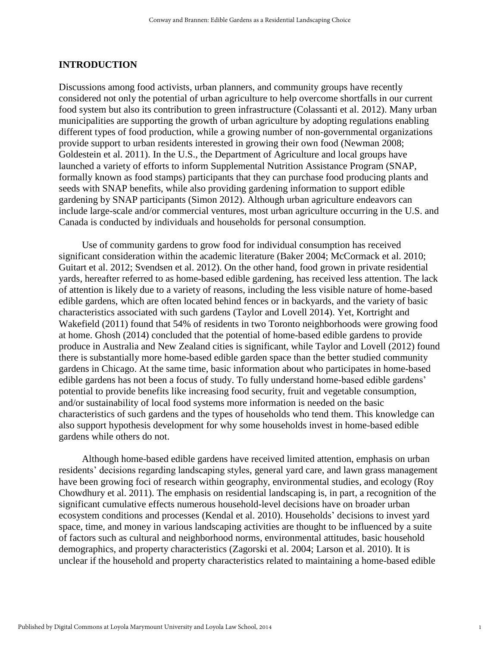#### **INTRODUCTION**

Discussions among food activists, urban planners, and community groups have recently considered not only the potential of urban agriculture to help overcome shortfalls in our current food system but also its contribution to green infrastructure (Colassanti et al. 2012). Many urban municipalities are supporting the growth of urban agriculture by adopting regulations enabling different types of food production, while a growing number of non-governmental organizations provide support to urban residents interested in growing their own food (Newman 2008; Goldestein et al. 2011). In the U.S., the Department of Agriculture and local groups have launched a variety of efforts to inform Supplemental Nutrition Assistance Program (SNAP, formally known as food stamps) participants that they can purchase food producing plants and seeds with SNAP benefits, while also providing gardening information to support edible gardening by SNAP participants (Simon 2012). Although urban agriculture endeavors can include large-scale and/or commercial ventures, most urban agriculture occurring in the U.S. and Canada is conducted by individuals and households for personal consumption.

Use of community gardens to grow food for individual consumption has received significant consideration within the academic literature (Baker 2004; McCormack et al. 2010; Guitart et al. 2012; Svendsen et al. 2012). On the other hand, food grown in private residential yards, hereafter referred to as home-based edible gardening, has received less attention. The lack of attention is likely due to a variety of reasons, including the less visible nature of home-based edible gardens, which are often located behind fences or in backyards, and the variety of basic characteristics associated with such gardens (Taylor and Lovell 2014). Yet, Kortright and Wakefield (2011) found that 54% of residents in two Toronto neighborhoods were growing food at home. Ghosh (2014) concluded that the potential of home-based edible gardens to provide produce in Australia and New Zealand cities is significant, while Taylor and Lovell (2012) found there is substantially more home-based edible garden space than the better studied community gardens in Chicago. At the same time, basic information about who participates in home-based edible gardens has not been a focus of study. To fully understand home-based edible gardens' potential to provide benefits like increasing food security, fruit and vegetable consumption, and/or sustainability of local food systems more information is needed on the basic characteristics of such gardens and the types of households who tend them. This knowledge can also support hypothesis development for why some households invest in home-based edible gardens while others do not.

Although home-based edible gardens have received limited attention, emphasis on urban residents' decisions regarding landscaping styles, general yard care, and lawn grass management have been growing foci of research within geography, environmental studies, and ecology (Roy Chowdhury et al. 2011). The emphasis on residential landscaping is, in part, a recognition of the significant cumulative effects numerous household-level decisions have on broader urban ecosystem conditions and processes (Kendal et al. 2010). Households' decisions to invest yard space, time, and money in various landscaping activities are thought to be influenced by a suite of factors such as cultural and neighborhood norms, environmental attitudes, basic household demographics, and property characteristics (Zagorski et al. 2004; Larson et al. 2010). It is unclear if the household and property characteristics related to maintaining a home-based edible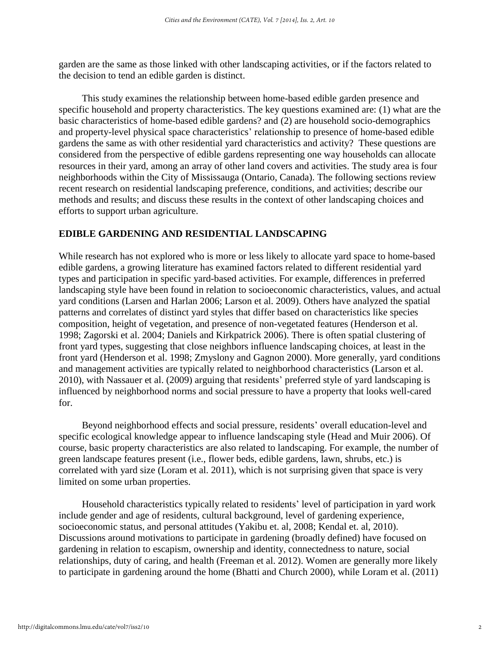garden are the same as those linked with other landscaping activities, or if the factors related to the decision to tend an edible garden is distinct.

This study examines the relationship between home-based edible garden presence and specific household and property characteristics. The key questions examined are: (1) what are the basic characteristics of home-based edible gardens? and (2) are household socio-demographics and property-level physical space characteristics' relationship to presence of home-based edible gardens the same as with other residential yard characteristics and activity? These questions are considered from the perspective of edible gardens representing one way households can allocate resources in their yard, among an array of other land covers and activities. The study area is four neighborhoods within the City of Mississauga (Ontario, Canada). The following sections review recent research on residential landscaping preference, conditions, and activities; describe our methods and results; and discuss these results in the context of other landscaping choices and efforts to support urban agriculture.

## **EDIBLE GARDENING AND RESIDENTIAL LANDSCAPING**

While research has not explored who is more or less likely to allocate yard space to home-based edible gardens, a growing literature has examined factors related to different residential yard types and participation in specific yard-based activities. For example, differences in preferred landscaping style have been found in relation to socioeconomic characteristics, values, and actual yard conditions (Larsen and Harlan 2006; Larson et al. 2009). Others have analyzed the spatial patterns and correlates of distinct yard styles that differ based on characteristics like species composition, height of vegetation, and presence of non-vegetated features (Henderson et al. 1998; Zagorski et al. 2004; Daniels and Kirkpatrick 2006). There is often spatial clustering of front yard types, suggesting that close neighbors influence landscaping choices, at least in the front yard (Henderson et al. 1998; Zmyslony and Gagnon 2000). More generally, yard conditions and management activities are typically related to neighborhood characteristics (Larson et al. 2010), with Nassauer et al. (2009) arguing that residents' preferred style of yard landscaping is influenced by neighborhood norms and social pressure to have a property that looks well-cared for.

Beyond neighborhood effects and social pressure, residents' overall education-level and specific ecological knowledge appear to influence landscaping style (Head and Muir 2006). Of course, basic property characteristics are also related to landscaping. For example, the number of green landscape features present (i.e., flower beds, edible gardens, lawn, shrubs, etc.) is correlated with yard size (Loram et al. 2011), which is not surprising given that space is very limited on some urban properties.

Household characteristics typically related to residents' level of participation in yard work include gender and age of residents, cultural background, level of gardening experience, socioeconomic status, and personal attitudes (Yakibu et. al, 2008; Kendal et. al, 2010). Discussions around motivations to participate in gardening (broadly defined) have focused on gardening in relation to escapism, ownership and identity, connectedness to nature, social relationships, duty of caring, and health (Freeman et al. 2012). Women are generally more likely to participate in gardening around the home (Bhatti and Church 2000), while Loram et al. (2011)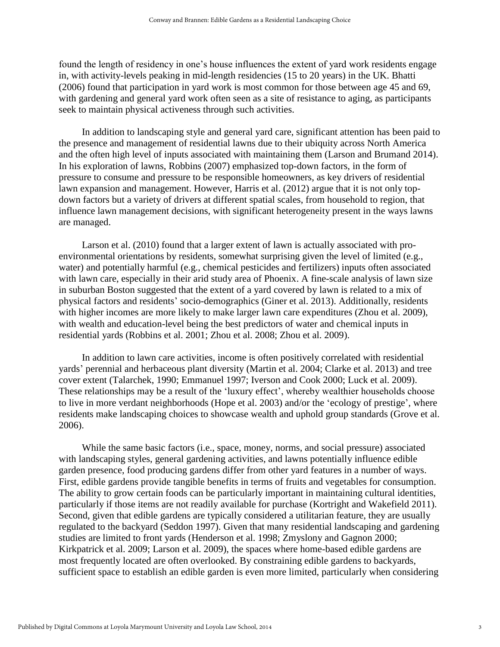found the length of residency in one's house influences the extent of yard work residents engage in, with activity-levels peaking in mid-length residencies (15 to 20 years) in the UK. Bhatti (2006) found that participation in yard work is most common for those between age 45 and 69, with gardening and general yard work often seen as a site of resistance to aging, as participants seek to maintain physical activeness through such activities.

In addition to landscaping style and general yard care, significant attention has been paid to the presence and management of residential lawns due to their ubiquity across North America and the often high level of inputs associated with maintaining them (Larson and Brumand 2014). In his exploration of lawns, Robbins (2007) emphasized top-down factors, in the form of pressure to consume and pressure to be responsible homeowners, as key drivers of residential lawn expansion and management. However, Harris et al. (2012) argue that it is not only topdown factors but a variety of drivers at different spatial scales, from household to region, that influence lawn management decisions, with significant heterogeneity present in the ways lawns are managed.

Larson et al. (2010) found that a larger extent of lawn is actually associated with proenvironmental orientations by residents, somewhat surprising given the level of limited (e.g., water) and potentially harmful (e.g., chemical pesticides and fertilizers) inputs often associated with lawn care, especially in their arid study area of Phoenix. A fine-scale analysis of lawn size in suburban Boston suggested that the extent of a yard covered by lawn is related to a mix of physical factors and residents' socio-demographics (Giner et al. 2013). Additionally, residents with higher incomes are more likely to make larger lawn care expenditures (Zhou et al. 2009), with wealth and education-level being the best predictors of water and chemical inputs in residential yards (Robbins et al. 2001; Zhou et al. 2008; Zhou et al. 2009).

In addition to lawn care activities, income is often positively correlated with residential yards' perennial and herbaceous plant diversity (Martin et al. 2004; Clarke et al. 2013) and tree cover extent (Talarchek, 1990; Emmanuel 1997; Iverson and Cook 2000; Luck et al. 2009). These relationships may be a result of the 'luxury effect', whereby wealthier households choose to live in more verdant neighborhoods (Hope et al. 2003) and/or the 'ecology of prestige', where residents make landscaping choices to showcase wealth and uphold group standards (Grove et al. 2006).

While the same basic factors (i.e., space, money, norms, and social pressure) associated with landscaping styles, general gardening activities, and lawns potentially influence edible garden presence, food producing gardens differ from other yard features in a number of ways. First, edible gardens provide tangible benefits in terms of fruits and vegetables for consumption. The ability to grow certain foods can be particularly important in maintaining cultural identities, particularly if those items are not readily available for purchase (Kortright and Wakefield 2011). Second, given that edible gardens are typically considered a utilitarian feature, they are usually regulated to the backyard (Seddon 1997). Given that many residential landscaping and gardening studies are limited to front yards (Henderson et al. 1998; Zmyslony and Gagnon 2000; Kirkpatrick et al. 2009; Larson et al. 2009), the spaces where home-based edible gardens are most frequently located are often overlooked. By constraining edible gardens to backyards, sufficient space to establish an edible garden is even more limited, particularly when considering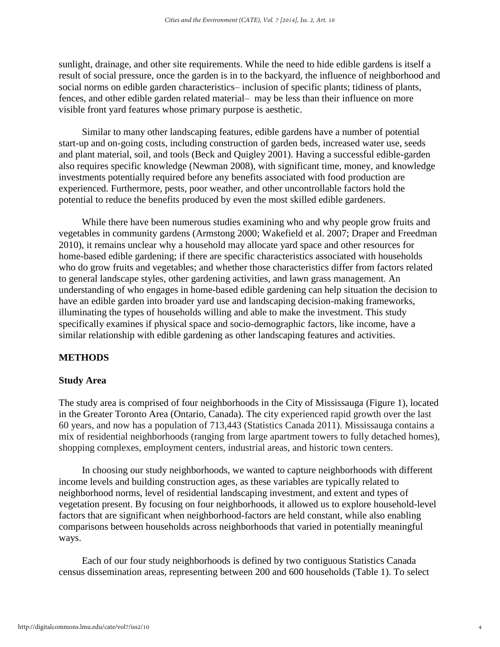sunlight, drainage, and other site requirements. While the need to hide edible gardens is itself a result of social pressure, once the garden is in to the backyard, the influence of neighborhood and social norms on edible garden characteristics– inclusion of specific plants; tidiness of plants, fences, and other edible garden related material– may be less than their influence on more visible front yard features whose primary purpose is aesthetic.

Similar to many other landscaping features, edible gardens have a number of potential start-up and on-going costs, including construction of garden beds, increased water use, seeds and plant material, soil, and tools (Beck and Quigley 2001). Having a successful edible-garden also requires specific knowledge (Newman 2008), with significant time, money, and knowledge investments potentially required before any benefits associated with food production are experienced. Furthermore, pests, poor weather, and other uncontrollable factors hold the potential to reduce the benefits produced by even the most skilled edible gardeners.

While there have been numerous studies examining who and why people grow fruits and vegetables in community gardens (Armstong 2000; Wakefield et al. 2007; Draper and Freedman 2010), it remains unclear why a household may allocate yard space and other resources for home-based edible gardening; if there are specific characteristics associated with households who do grow fruits and vegetables; and whether those characteristics differ from factors related to general landscape styles, other gardening activities, and lawn grass management. An understanding of who engages in home-based edible gardening can help situation the decision to have an edible garden into broader yard use and landscaping decision-making frameworks, illuminating the types of households willing and able to make the investment. This study specifically examines if physical space and socio-demographic factors, like income, have a similar relationship with edible gardening as other landscaping features and activities.

# **METHODS**

### **Study Area**

The study area is comprised of four neighborhoods in the City of Mississauga (Figure 1), located in the Greater Toronto Area (Ontario, Canada). The city experienced rapid growth over the last 60 years, and now has a population of 713,443 (Statistics Canada 2011). Mississauga contains a mix of residential neighborhoods (ranging from large apartment towers to fully detached homes), shopping complexes, employment centers, industrial areas, and historic town centers.

In choosing our study neighborhoods, we wanted to capture neighborhoods with different income levels and building construction ages, as these variables are typically related to neighborhood norms, level of residential landscaping investment, and extent and types of vegetation present. By focusing on four neighborhoods, it allowed us to explore household-level factors that are significant when neighborhood-factors are held constant, while also enabling comparisons between households across neighborhoods that varied in potentially meaningful ways.

Each of our four study neighborhoods is defined by two contiguous Statistics Canada census dissemination areas, representing between 200 and 600 households (Table 1). To select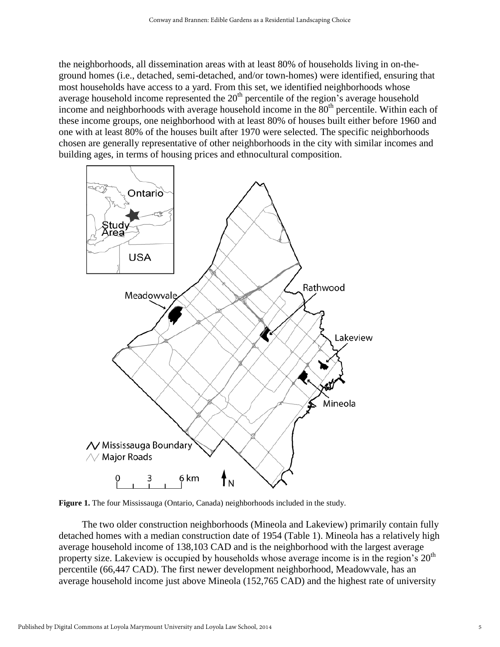the neighborhoods, all dissemination areas with at least 80% of households living in on-theground homes (i.e., detached, semi-detached, and/or town-homes) were identified, ensuring that most households have access to a yard. From this set, we identified neighborhoods whose average household income represented the  $20<sup>th</sup>$  percentile of the region's average household income and neighborhoods with average household income in the  $80<sup>th</sup>$  percentile. Within each of these income groups, one neighborhood with at least 80% of houses built either before 1960 and one with at least 80% of the houses built after 1970 were selected. The specific neighborhoods chosen are generally representative of other neighborhoods in the city with similar incomes and building ages, in terms of housing prices and ethnocultural composition.



**Figure 1.** The four Mississauga (Ontario, Canada) neighborhoods included in the study.

The two older construction neighborhoods (Mineola and Lakeview) primarily contain fully detached homes with a median construction date of 1954 (Table 1). Mineola has a relatively high average household income of 138,103 CAD and is the neighborhood with the largest average property size. Lakeview is occupied by households whose average income is in the region's  $20<sup>th</sup>$ percentile (66,447 CAD). The first newer development neighborhood, Meadowvale, has an average household income just above Mineola (152,765 CAD) and the highest rate of university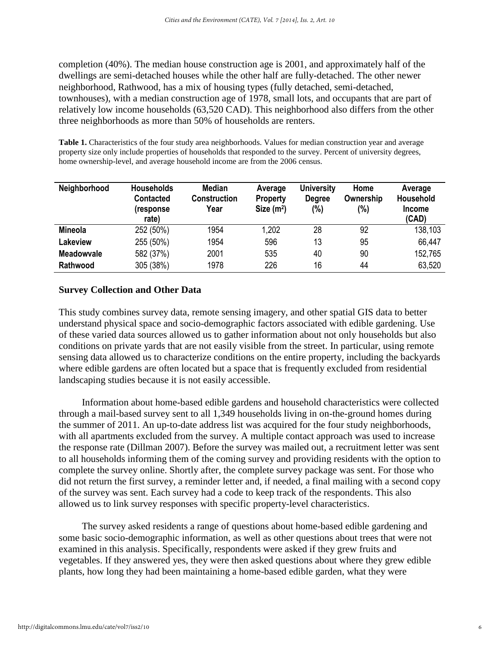completion (40%). The median house construction age is 2001, and approximately half of the dwellings are semi-detached houses while the other half are fully-detached. The other newer neighborhood, Rathwood, has a mix of housing types (fully detached, semi-detached, townhouses), with a median construction age of 1978, small lots, and occupants that are part of relatively low income households (63,520 CAD). This neighborhood also differs from the other three neighborhoods as more than 50% of households are renters.

**Table 1.** Characteristics of the four study area neighborhoods. Values for median construction year and average property size only include properties of households that responded to the survey. Percent of university degrees, home ownership-level, and average household income are from the 2006 census.

| Neighborhood      | <b>Households</b><br><b>Contacted</b><br>(response<br>rate) | Median<br><b>Construction</b><br>Year | Average<br><b>Property</b><br>Size $(m2)$ | <b>University</b><br><b>Degree</b><br>(%) | Home<br>Ownership<br>(%) | Average<br>Household<br><b>Income</b><br>(CAD) |
|-------------------|-------------------------------------------------------------|---------------------------------------|-------------------------------------------|-------------------------------------------|--------------------------|------------------------------------------------|
| <b>Mineola</b>    | 252 (50%)                                                   | 1954                                  | 1,202                                     | 28                                        | 92                       | 138,103                                        |
| Lakeview          | 255 (50%)                                                   | 1954                                  | 596                                       | 13                                        | 95                       | 66,447                                         |
| <b>Meadowyale</b> | 582 (37%)                                                   | 2001                                  | 535                                       | 40                                        | 90                       | 152,765                                        |
| Rathwood          | 305 (38%)                                                   | 1978                                  | 226                                       | 16                                        | 44                       | 63,520                                         |

# **Survey Collection and Other Data**

This study combines survey data, remote sensing imagery, and other spatial GIS data to better understand physical space and socio-demographic factors associated with edible gardening. Use of these varied data sources allowed us to gather information about not only households but also conditions on private yards that are not easily visible from the street. In particular, using remote sensing data allowed us to characterize conditions on the entire property, including the backyards where edible gardens are often located but a space that is frequently excluded from residential landscaping studies because it is not easily accessible.

Information about home-based edible gardens and household characteristics were collected through a mail-based survey sent to all 1,349 households living in on-the-ground homes during the summer of 2011. An up-to-date address list was acquired for the four study neighborhoods, with all apartments excluded from the survey. A multiple contact approach was used to increase the response rate (Dillman 2007). Before the survey was mailed out, a recruitment letter was sent to all households informing them of the coming survey and providing residents with the option to complete the survey online. Shortly after, the complete survey package was sent. For those who did not return the first survey, a reminder letter and, if needed, a final mailing with a second copy of the survey was sent. Each survey had a code to keep track of the respondents. This also allowed us to link survey responses with specific property-level characteristics.

The survey asked residents a range of questions about home-based edible gardening and some basic socio-demographic information, as well as other questions about trees that were not examined in this analysis. Specifically, respondents were asked if they grew fruits and vegetables. If they answered yes, they were then asked questions about where they grew edible plants, how long they had been maintaining a home-based edible garden, what they were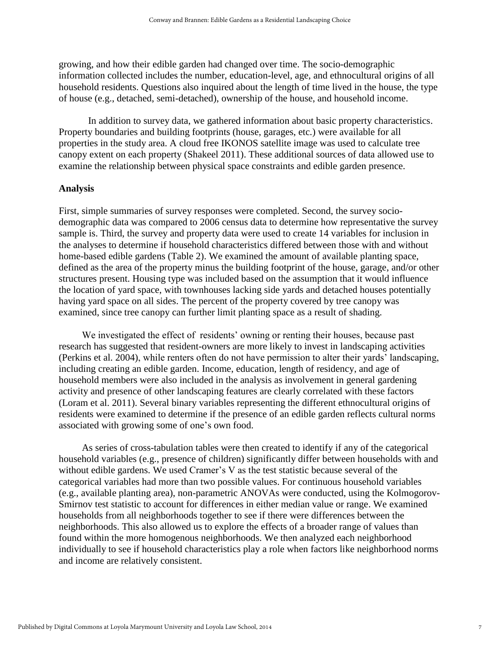growing, and how their edible garden had changed over time. The socio-demographic information collected includes the number, education-level, age, and ethnocultural origins of all household residents. Questions also inquired about the length of time lived in the house, the type of house (e.g., detached, semi-detached), ownership of the house, and household income.

In addition to survey data, we gathered information about basic property characteristics. Property boundaries and building footprints (house, garages, etc.) were available for all properties in the study area. A cloud free IKONOS satellite image was used to calculate tree canopy extent on each property (Shakeel 2011). These additional sources of data allowed use to examine the relationship between physical space constraints and edible garden presence.

### **Analysis**

First, simple summaries of survey responses were completed. Second, the survey sociodemographic data was compared to 2006 census data to determine how representative the survey sample is. Third, the survey and property data were used to create 14 variables for inclusion in the analyses to determine if household characteristics differed between those with and without home-based edible gardens (Table 2). We examined the amount of available planting space, defined as the area of the property minus the building footprint of the house, garage, and/or other structures present. Housing type was included based on the assumption that it would influence the location of yard space, with townhouses lacking side yards and detached houses potentially having yard space on all sides. The percent of the property covered by tree canopy was examined, since tree canopy can further limit planting space as a result of shading.

We investigated the effect of residents' owning or renting their houses, because past research has suggested that resident-owners are more likely to invest in landscaping activities (Perkins et al. 2004), while renters often do not have permission to alter their yards' landscaping, including creating an edible garden. Income, education, length of residency, and age of household members were also included in the analysis as involvement in general gardening activity and presence of other landscaping features are clearly correlated with these factors (Loram et al. 2011). Several binary variables representing the different ethnocultural origins of residents were examined to determine if the presence of an edible garden reflects cultural norms associated with growing some of one's own food.

As series of cross-tabulation tables were then created to identify if any of the categorical household variables (e.g., presence of children) significantly differ between households with and without edible gardens. We used Cramer's V as the test statistic because several of the categorical variables had more than two possible values. For continuous household variables (e.g., available planting area), non-parametric ANOVAs were conducted, using the Kolmogorov-Smirnov test statistic to account for differences in either median value or range. We examined households from all neighborhoods together to see if there were differences between the neighborhoods. This also allowed us to explore the effects of a broader range of values than found within the more homogenous neighborhoods. We then analyzed each neighborhood individually to see if household characteristics play a role when factors like neighborhood norms and income are relatively consistent.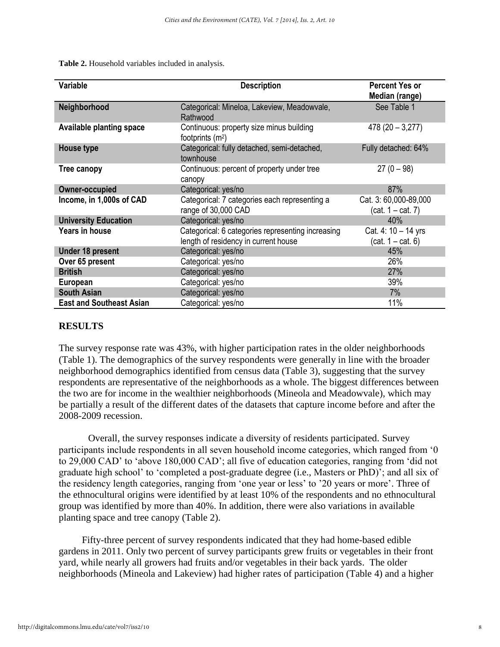**Table 2.** Household variables included in analysis.

| Variable                        | <b>Description</b>                                                                        | <b>Percent Yes or</b><br>Median (range)      |
|---------------------------------|-------------------------------------------------------------------------------------------|----------------------------------------------|
| Neighborhood                    | Categorical: Mineloa, Lakeview, Meadowvale,<br>Rathwood                                   | See Table 1                                  |
| <b>Available planting space</b> | Continuous: property size minus building<br>footprints $(m2)$                             | $478(20 - 3,277)$                            |
| House type                      | Categorical: fully detached, semi-detached,<br>townhouse                                  | Fully detached: 64%                          |
| <b>Tree canopy</b>              | Continuous: percent of property under tree<br>canopy                                      | $27(0-98)$                                   |
| <b>Owner-occupied</b>           | Categorical: yes/no                                                                       | 87%                                          |
| Income, in 1,000s of CAD        | Categorical: 7 categories each representing a<br>range of 30,000 CAD                      | Cat. 3: 60,000-89,000<br>$(cat. 1 - cat. 7)$ |
| <b>University Education</b>     | Categorical: yes/no                                                                       | 40%                                          |
| <b>Years in house</b>           | Categorical: 6 categories representing increasing<br>length of residency in current house | Cat. 4: 10 - 14 yrs<br>$(cat. 1 - cat. 6)$   |
| <b>Under 18 present</b>         | Categorical: yes/no                                                                       | 45%                                          |
| Over 65 present                 | Categorical: yes/no                                                                       | 26%                                          |
| <b>British</b>                  | Categorical: yes/no                                                                       | 27%                                          |
| European                        | Categorical: yes/no                                                                       | 39%                                          |
| <b>South Asian</b>              | Categorical: yes/no                                                                       | 7%                                           |
| <b>East and Southeast Asian</b> | Categorical: yes/no                                                                       | 11%                                          |

## **RESULTS**

The survey response rate was 43%, with higher participation rates in the older neighborhoods (Table 1). The demographics of the survey respondents were generally in line with the broader neighborhood demographics identified from census data (Table 3), suggesting that the survey respondents are representative of the neighborhoods as a whole. The biggest differences between the two are for income in the wealthier neighborhoods (Mineola and Meadowvale), which may be partially a result of the different dates of the datasets that capture income before and after the 2008-2009 recession.

Overall, the survey responses indicate a diversity of residents participated. Survey participants include respondents in all seven household income categories, which ranged from '0 to 29,000 CAD' to 'above 180,000 CAD'; all five of education categories, ranging from 'did not graduate high school' to 'completed a post-graduate degree (i.e., Masters or PhD)'; and all six of the residency length categories, ranging from 'one year or less' to '20 years or more'. Three of the ethnocultural origins were identified by at least 10% of the respondents and no ethnocultural group was identified by more than 40%. In addition, there were also variations in available planting space and tree canopy (Table 2).

Fifty-three percent of survey respondents indicated that they had home-based edible gardens in 2011. Only two percent of survey participants grew fruits or vegetables in their front yard, while nearly all growers had fruits and/or vegetables in their back yards. The older neighborhoods (Mineola and Lakeview) had higher rates of participation (Table 4) and a higher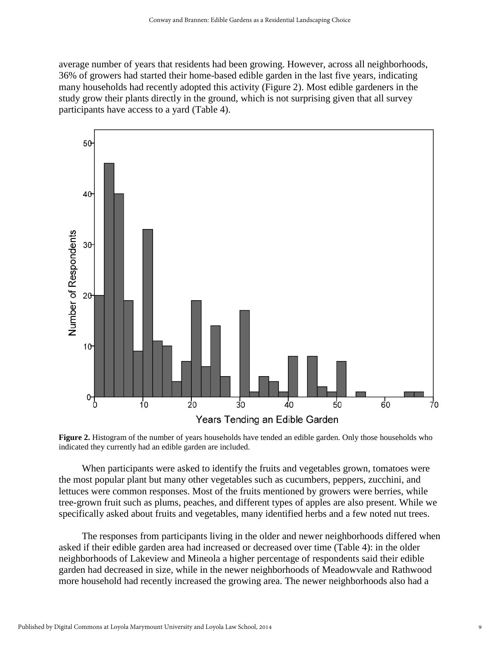average number of years that residents had been growing. However, across all neighborhoods, 36% of growers had started their home-based edible garden in the last five years, indicating many households had recently adopted this activity (Figure 2). Most edible gardeners in the study grow their plants directly in the ground, which is not surprising given that all survey participants have access to a yard (Table 4).



**Figure 2.** Histogram of the number of years households have tended an edible garden. Only those households who indicated they currently had an edible garden are included.

When participants were asked to identify the fruits and vegetables grown, tomatoes were the most popular plant but many other vegetables such as cucumbers, peppers, zucchini, and lettuces were common responses. Most of the fruits mentioned by growers were berries, while tree-grown fruit such as plums, peaches, and different types of apples are also present. While we specifically asked about fruits and vegetables, many identified herbs and a few noted nut trees.

The responses from participants living in the older and newer neighborhoods differed when asked if their edible garden area had increased or decreased over time (Table 4): in the older neighborhoods of Lakeview and Mineola a higher percentage of respondents said their edible garden had decreased in size, while in the newer neighborhoods of Meadowvale and Rathwood more household had recently increased the growing area. The newer neighborhoods also had a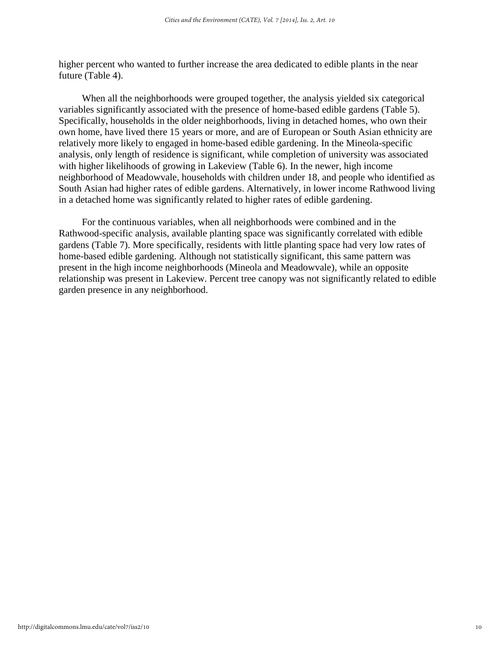higher percent who wanted to further increase the area dedicated to edible plants in the near future (Table 4).

When all the neighborhoods were grouped together, the analysis yielded six categorical variables significantly associated with the presence of home-based edible gardens (Table 5). Specifically, households in the older neighborhoods, living in detached homes, who own their own home, have lived there 15 years or more, and are of European or South Asian ethnicity are relatively more likely to engaged in home-based edible gardening. In the Mineola-specific analysis, only length of residence is significant, while completion of university was associated with higher likelihoods of growing in Lakeview (Table 6). In the newer, high income neighborhood of Meadowvale, households with children under 18, and people who identified as South Asian had higher rates of edible gardens. Alternatively, in lower income Rathwood living in a detached home was significantly related to higher rates of edible gardening.

For the continuous variables, when all neighborhoods were combined and in the Rathwood-specific analysis, available planting space was significantly correlated with edible gardens (Table 7). More specifically, residents with little planting space had very low rates of home-based edible gardening. Although not statistically significant, this same pattern was present in the high income neighborhoods (Mineola and Meadowvale), while an opposite relationship was present in Lakeview. Percent tree canopy was not significantly related to edible garden presence in any neighborhood.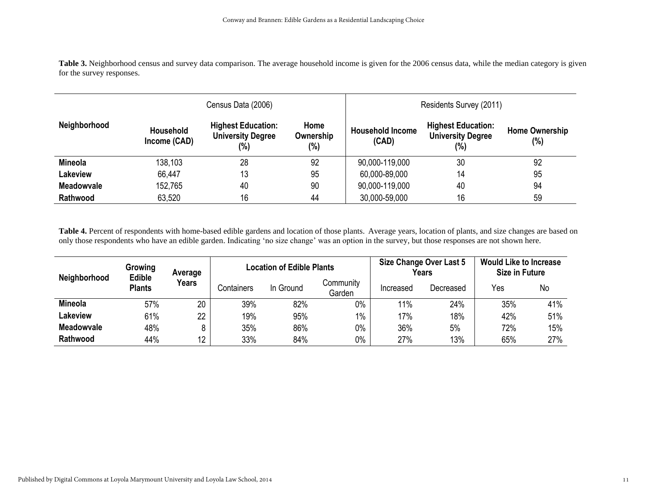Table 3. Neighborhood census and survey data comparison. The average household income is given for the 2006 census data, while the median category is given for the survey responses.

|                   |                                  | Census Data (2006)                                           |                          | Residents Survey (2011)          |                                                              |                              |  |
|-------------------|----------------------------------|--------------------------------------------------------------|--------------------------|----------------------------------|--------------------------------------------------------------|------------------------------|--|
| Neighborhood      | <b>Household</b><br>Income (CAD) | <b>Highest Education:</b><br><b>University Degree</b><br>(%) | Home<br>Ownership<br>(%) | <b>Household Income</b><br>(CAD) | <b>Highest Education:</b><br><b>University Degree</b><br>(%) | <b>Home Ownership</b><br>(%) |  |
| <b>Mineola</b>    | 138,103                          | 28                                                           | 92                       | 90,000-119,000                   | 30                                                           | 92                           |  |
| <b>Lakeview</b>   | 66,447                           | 13                                                           | 95                       | 60,000-89,000                    | 14                                                           | 95                           |  |
| <b>Meadowvale</b> | 152,765                          | 40                                                           | 90                       | 90,000-119,000                   | 40                                                           | 94                           |  |
| <b>Rathwood</b>   | 63,520                           | 16                                                           | 44                       | 30,000-59,000                    | 16                                                           | 59                           |  |

**Table 4.** Percent of respondents with home-based edible gardens and location of those plants. Average years, location of plants, and size changes are based on only those respondents who have an edible garden. Indicating 'no size change' was an option in the survey, but those responses are not shown here.

| Neighborhood      | Growing<br><b>Edible</b><br><b>Plants</b> | Average<br><b>Years</b> |            | <b>Location of Edible Plants</b> |                     |           | Size Change Over Last 5<br>Years | <b>Would Like to Increase</b><br><b>Size in Future</b> |     |
|-------------------|-------------------------------------------|-------------------------|------------|----------------------------------|---------------------|-----------|----------------------------------|--------------------------------------------------------|-----|
|                   |                                           |                         | Containers | In Ground                        | Community<br>Garden | Increased | Decreased                        | Yes                                                    | No  |
| <b>Mineola</b>    | 57%                                       | 20                      | 39%        | 82%                              | 0%                  | 11%       | 24%                              | 35%                                                    | 41% |
| Lakeview          | 61%                                       | 22                      | 19%        | 95%                              | $1\%$               | 17%       | 18%                              | 42%                                                    | 51% |
| <b>Meadowyale</b> | 48%                                       |                         | 35%        | 86%                              | 0%                  | 36%       | 5%                               | 72%                                                    | 15% |
| <b>Rathwood</b>   | 44%                                       | 12                      | 33%        | 84%                              | 0%                  | 27%       | 13%                              | 65%                                                    | 27% |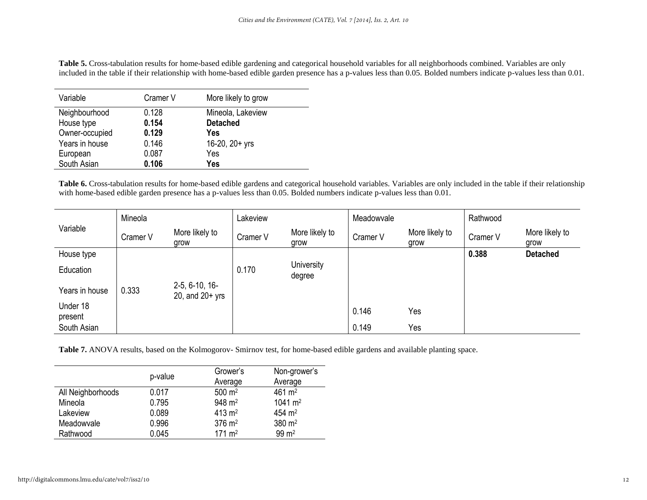**Table 5.** Cross-tabulation results for home-based edible gardening and categorical household variables for all neighborhoods combined. Variables are only included in the table if their relationship with home-based edible garden presence has a p-values less than 0.05. Bolded numbers indicate p-values less than 0.01.

| Variable       | Cramer V | More likely to grow |
|----------------|----------|---------------------|
| Neighbourhood  | 0.128    | Mineola, Lakeview   |
| House type     | 0.154    | <b>Detached</b>     |
| Owner-occupied | 0.129    | Yes                 |
| Years in house | 0.146    | 16-20, 20+ yrs      |
| European       | 0.087    | Yes                 |
| South Asian    | 0.106    | Yes                 |

**Table 6.** Cross-tabulation results for home-based edible gardens and categorical household variables. Variables are only included in the table if their relationship with home-based edible garden presence has a p-values less than 0.05. Bolded numbers indicate p-values less than 0.01.

|                     | Mineola  |                                       | Lakeview |                        | Meadowvale |                        | Rathwood |                        |
|---------------------|----------|---------------------------------------|----------|------------------------|------------|------------------------|----------|------------------------|
| Variable            | Cramer V | More likely to<br>grow                | Cramer V | More likely to<br>grow | Cramer V   | More likely to<br>grow | Cramer V | More likely to<br>grow |
| House type          |          |                                       |          |                        |            |                        | 0.388    | <b>Detached</b>        |
| Education           |          |                                       | 0.170    | University<br>degree   |            |                        |          |                        |
| Years in house      | 0.333    | $2-5, 6-10, 16-$<br>20, and $20+$ yrs |          |                        |            |                        |          |                        |
| Under 18<br>present |          |                                       |          |                        | 0.146      | Yes                    |          |                        |
| South Asian         |          |                                       |          |                        | 0.149      | Yes                    |          |                        |

**Table 7.** ANOVA results, based on the Kolmogorov- Smirnov test, for home-based edible gardens and available planting space.

|                   | p-value | Grower's            | Non-grower's          |  |
|-------------------|---------|---------------------|-----------------------|--|
|                   |         | Average             | Average               |  |
| All Neighborhoods | 0.017   | $500 \; \text{m}^2$ | $461 \text{ m}^2$     |  |
| Mineola           | 0.795   | $948 \text{ m}^2$   | $1041 \; \text{m}^2$  |  |
| Lakeview          | 0.089   | $413 \text{ m}^2$   | $454 \; \mathrm{m}^2$ |  |
| Meadowvale        | 0.996   | $376 \; \text{m}^2$ | $380 \; \text{m}^2$   |  |
| Rathwood          | 0.045   | $171 \text{ m}^2$   | $99 \text{ m}^2$      |  |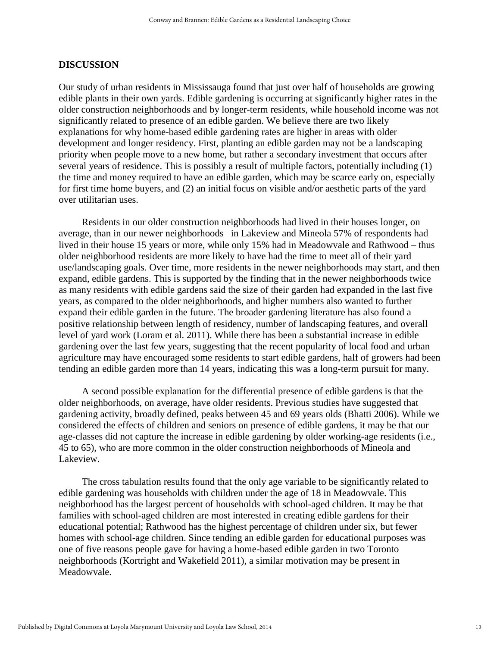#### **DISCUSSION**

Our study of urban residents in Mississauga found that just over half of households are growing edible plants in their own yards. Edible gardening is occurring at significantly higher rates in the older construction neighborhoods and by longer-term residents, while household income was not significantly related to presence of an edible garden. We believe there are two likely explanations for why home-based edible gardening rates are higher in areas with older development and longer residency. First, planting an edible garden may not be a landscaping priority when people move to a new home, but rather a secondary investment that occurs after several years of residence. This is possibly a result of multiple factors, potentially including (1) the time and money required to have an edible garden, which may be scarce early on, especially for first time home buyers, and (2) an initial focus on visible and/or aesthetic parts of the yard over utilitarian uses.

Residents in our older construction neighborhoods had lived in their houses longer, on average, than in our newer neighborhoods –in Lakeview and Mineola 57% of respondents had lived in their house 15 years or more, while only 15% had in Meadowvale and Rathwood – thus older neighborhood residents are more likely to have had the time to meet all of their yard use/landscaping goals. Over time, more residents in the newer neighborhoods may start, and then expand, edible gardens. This is supported by the finding that in the newer neighborhoods twice as many residents with edible gardens said the size of their garden had expanded in the last five years, as compared to the older neighborhoods, and higher numbers also wanted to further expand their edible garden in the future. The broader gardening literature has also found a positive relationship between length of residency, number of landscaping features, and overall level of yard work (Loram et al. 2011). While there has been a substantial increase in edible gardening over the last few years, suggesting that the recent popularity of local food and urban agriculture may have encouraged some residents to start edible gardens, half of growers had been tending an edible garden more than 14 years, indicating this was a long-term pursuit for many.

A second possible explanation for the differential presence of edible gardens is that the older neighborhoods, on average, have older residents. Previous studies have suggested that gardening activity, broadly defined, peaks between 45 and 69 years olds (Bhatti 2006). While we considered the effects of children and seniors on presence of edible gardens, it may be that our age-classes did not capture the increase in edible gardening by older working-age residents (i.e., 45 to 65), who are more common in the older construction neighborhoods of Mineola and Lakeview.

The cross tabulation results found that the only age variable to be significantly related to edible gardening was households with children under the age of 18 in Meadowvale. This neighborhood has the largest percent of households with school-aged children. It may be that families with school-aged children are most interested in creating edible gardens for their educational potential; Rathwood has the highest percentage of children under six, but fewer homes with school-age children. Since tending an edible garden for educational purposes was one of five reasons people gave for having a home-based edible garden in two Toronto neighborhoods (Kortright and Wakefield 2011), a similar motivation may be present in Meadowvale.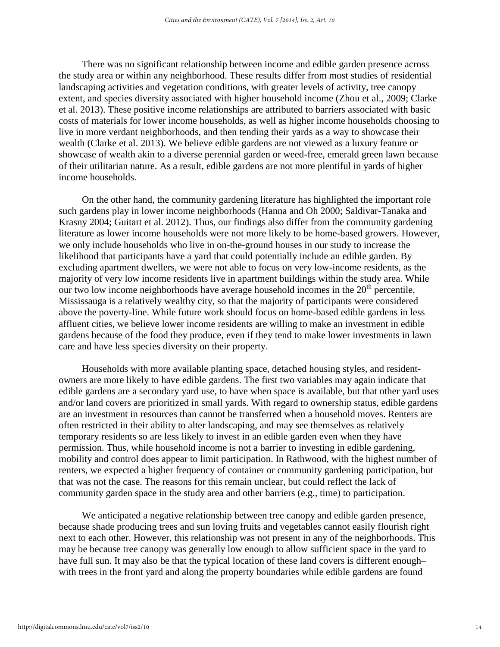There was no significant relationship between income and edible garden presence across the study area or within any neighborhood. These results differ from most studies of residential landscaping activities and vegetation conditions, with greater levels of activity, tree canopy extent, and species diversity associated with higher household income (Zhou et al., 2009; Clarke et al. 2013). These positive income relationships are attributed to barriers associated with basic costs of materials for lower income households, as well as higher income households choosing to live in more verdant neighborhoods, and then tending their yards as a way to showcase their wealth (Clarke et al. 2013). We believe edible gardens are not viewed as a luxury feature or showcase of wealth akin to a diverse perennial garden or weed-free, emerald green lawn because of their utilitarian nature. As a result, edible gardens are not more plentiful in yards of higher income households.

On the other hand, the community gardening literature has highlighted the important role such gardens play in lower income neighborhoods (Hanna and Oh 2000; Saldivar-Tanaka and Krasny 2004; Guitart et al. 2012). Thus, our findings also differ from the community gardening literature as lower income households were not more likely to be home-based growers. However, we only include households who live in on-the-ground houses in our study to increase the likelihood that participants have a yard that could potentially include an edible garden. By excluding apartment dwellers, we were not able to focus on very low-income residents, as the majority of very low income residents live in apartment buildings within the study area. While our two low income neighborhoods have average household incomes in the  $20<sup>th</sup>$  percentile, Mississauga is a relatively wealthy city, so that the majority of participants were considered above the poverty-line. While future work should focus on home-based edible gardens in less affluent cities, we believe lower income residents are willing to make an investment in edible gardens because of the food they produce, even if they tend to make lower investments in lawn care and have less species diversity on their property.

Households with more available planting space, detached housing styles, and residentowners are more likely to have edible gardens. The first two variables may again indicate that edible gardens are a secondary yard use, to have when space is available, but that other yard uses and/or land covers are prioritized in small yards. With regard to ownership status, edible gardens are an investment in resources than cannot be transferred when a household moves. Renters are often restricted in their ability to alter landscaping, and may see themselves as relatively temporary residents so are less likely to invest in an edible garden even when they have permission. Thus, while household income is not a barrier to investing in edible gardening, mobility and control does appear to limit participation. In Rathwood, with the highest number of renters, we expected a higher frequency of container or community gardening participation, but that was not the case. The reasons for this remain unclear, but could reflect the lack of community garden space in the study area and other barriers (e.g., time) to participation.

We anticipated a negative relationship between tree canopy and edible garden presence, because shade producing trees and sun loving fruits and vegetables cannot easily flourish right next to each other. However, this relationship was not present in any of the neighborhoods. This may be because tree canopy was generally low enough to allow sufficient space in the yard to have full sun. It may also be that the typical location of these land covers is different enough– with trees in the front yard and along the property boundaries while edible gardens are found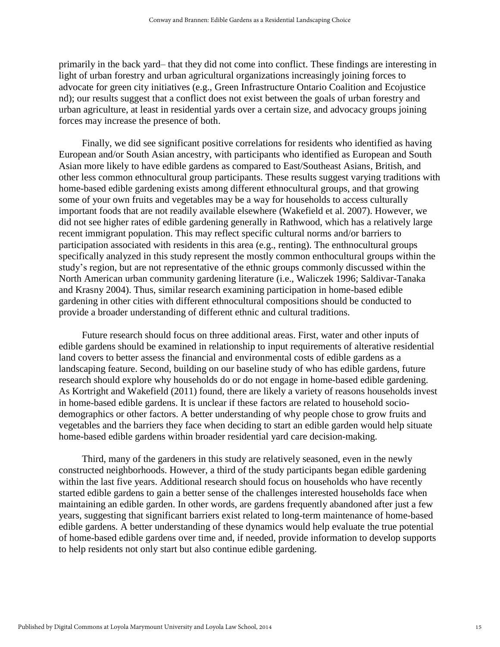primarily in the back yard– that they did not come into conflict. These findings are interesting in light of urban forestry and urban agricultural organizations increasingly joining forces to advocate for green city initiatives (e.g., Green Infrastructure Ontario Coalition and Ecojustice nd); our results suggest that a conflict does not exist between the goals of urban forestry and urban agriculture, at least in residential yards over a certain size, and advocacy groups joining forces may increase the presence of both.

Finally, we did see significant positive correlations for residents who identified as having European and/or South Asian ancestry, with participants who identified as European and South Asian more likely to have edible gardens as compared to East/Southeast Asians, British, and other less common ethnocultural group participants. These results suggest varying traditions with home-based edible gardening exists among different ethnocultural groups, and that growing some of your own fruits and vegetables may be a way for households to access culturally important foods that are not readily available elsewhere (Wakefield et al. 2007). However, we did not see higher rates of edible gardening generally in Rathwood, which has a relatively large recent immigrant population. This may reflect specific cultural norms and/or barriers to participation associated with residents in this area (e.g., renting). The enthnocultural groups specifically analyzed in this study represent the mostly common enthocultural groups within the study's region, but are not representative of the ethnic groups commonly discussed within the North American urban community gardening literature (i.e., Waliczek 1996; Saldivar-Tanaka and Krasny 2004). Thus, similar research examining participation in home-based edible gardening in other cities with different ethnocultural compositions should be conducted to provide a broader understanding of different ethnic and cultural traditions.

Future research should focus on three additional areas. First, water and other inputs of edible gardens should be examined in relationship to input requirements of alterative residential land covers to better assess the financial and environmental costs of edible gardens as a landscaping feature. Second, building on our baseline study of who has edible gardens, future research should explore why households do or do not engage in home-based edible gardening. As Kortright and Wakefield (2011) found, there are likely a variety of reasons households invest in home-based edible gardens. It is unclear if these factors are related to household sociodemographics or other factors. A better understanding of why people chose to grow fruits and vegetables and the barriers they face when deciding to start an edible garden would help situate home-based edible gardens within broader residential yard care decision-making.

Third, many of the gardeners in this study are relatively seasoned, even in the newly constructed neighborhoods. However, a third of the study participants began edible gardening within the last five years. Additional research should focus on households who have recently started edible gardens to gain a better sense of the challenges interested households face when maintaining an edible garden. In other words, are gardens frequently abandoned after just a few years, suggesting that significant barriers exist related to long-term maintenance of home-based edible gardens. A better understanding of these dynamics would help evaluate the true potential of home-based edible gardens over time and, if needed, provide information to develop supports to help residents not only start but also continue edible gardening.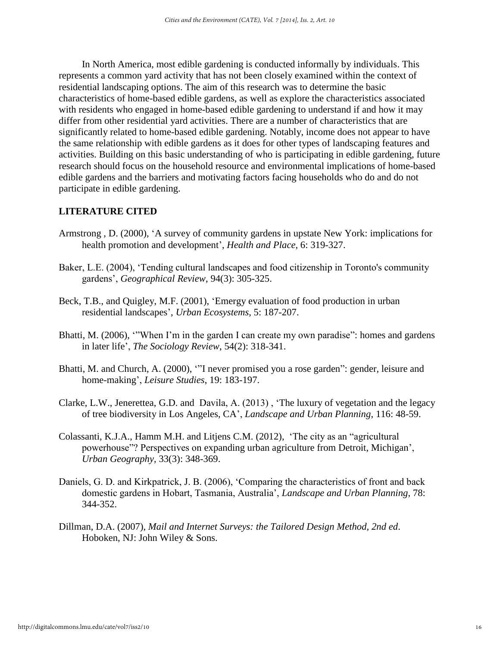In North America, most edible gardening is conducted informally by individuals. This represents a common yard activity that has not been closely examined within the context of residential landscaping options. The aim of this research was to determine the basic characteristics of home-based edible gardens, as well as explore the characteristics associated with residents who engaged in home-based edible gardening to understand if and how it may differ from other residential yard activities. There are a number of characteristics that are significantly related to home-based edible gardening. Notably, income does not appear to have the same relationship with edible gardens as it does for other types of landscaping features and activities. Building on this basic understanding of who is participating in edible gardening, future research should focus on the household resource and environmental implications of home-based edible gardens and the barriers and motivating factors facing households who do and do not participate in edible gardening.

# **LITERATURE CITED**

- Armstrong , D. (2000), 'A survey of community gardens in upstate New York: implications for health promotion and development', *Health and Place*, 6: 319-327.
- Baker, L.E. (2004), 'Tending cultural landscapes and food citizenship in Toronto's community gardens', *Geographical Review*, 94(3): 305-325.
- Beck, T.B., and Quigley, M.F. (2001), 'Emergy evaluation of food production in urban residential landscapes', *Urban Ecosystems*, 5: 187-207.
- Bhatti, M. (2006), '"When I'm in the garden I can create my own paradise": homes and gardens in later life', *The Sociology Review*, 54(2): 318-341.
- Bhatti, M. and Church, A. (2000), '"I never promised you a rose garden": gender, leisure and home-making', *Leisure Studies*, 19: 183-197.
- Clarke, L.W., Jenerettea, G.D. and Davila, A. (2013) , 'The luxury of vegetation and the legacy of tree biodiversity in Los Angeles, CA', *Landscape and Urban Planning*, 116: 48-59.
- Colassanti, K.J.A., Hamm M.H. and Litjens C.M. (2012), 'The city as an "agricultural powerhouse"? Perspectives on expanding urban agriculture from Detroit, Michigan', *Urban Geography*, 33(3): 348-369.
- Daniels, G. D. and Kirkpatrick, J. B. (2006), 'Comparing the characteristics of front and back domestic gardens in Hobart, Tasmania, Australia', *Landscape and Urban Planning*, 78: 344-352.
- Dillman, D.A. (2007), *Mail and Internet Surveys: the Tailored Design Method, 2nd ed*. Hoboken, NJ: John Wiley & Sons.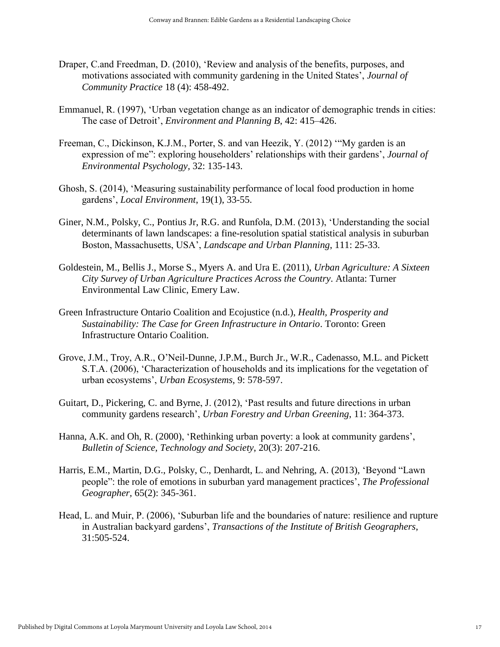- Draper, C.and Freedman, D. (2010), 'Review and analysis of the benefits, purposes, and motivations associated with community gardening in the United States', *Journal of Community Practice* 18 (4): 458-492.
- Emmanuel, R. (1997), 'Urban vegetation change as an indicator of demographic trends in cities: The case of Detroit', *Environment and Planning B*, 42: 415–426.
- Freeman, C., Dickinson, K.J.M., Porter, S. and van Heezik, Y. (2012) '"My garden is an expression of me": exploring householders' relationships with their gardens', *Journal of Environmental Psychology,* 32: 135-143.
- Ghosh, S. (2014), 'Measuring sustainability performance of local food production in home gardens', *Local Environment*, 19(1), 33-55.
- Giner, N.M., Polsky, C., Pontius Jr, R.G. and Runfola, D.M. (2013), 'Understanding the social determinants of lawn landscapes: a fine-resolution spatial statistical analysis in suburban Boston, Massachusetts, USA', *Landscape and Urban Planning*, 111: 25-33.
- Goldestein, M., Bellis J., Morse S., Myers A. and Ura E. (2011), *Urban Agriculture: A Sixteen City Survey of Urban Agriculture Practices Across the Country*. Atlanta: Turner Environmental Law Clinic, Emery Law.
- Green Infrastructure Ontario Coalition and Ecojustice (n.d.), *Health, Prosperity and Sustainability: The Case for Green Infrastructure in Ontario*. Toronto: Green Infrastructure Ontario Coalition.
- Grove, J.M., Troy, A.R., O'Neil-Dunne, J.P.M., Burch Jr., W.R., Cadenasso, M.L. and Pickett S.T.A. (2006), 'Characterization of households and its implications for the vegetation of urban ecosystems', *Urban Ecosystems*, 9: 578-597.
- Guitart, D., Pickering, C. and Byrne, J. (2012), 'Past results and future directions in urban community gardens research', *Urban Forestry and Urban Greening*, 11: 364-373.
- Hanna, A.K. and Oh, R. (2000), 'Rethinking urban poverty: a look at community gardens', *Bulletin of Science, Technology and Society*, 20(3): 207-216.
- Harris, E.M., Martin, D.G., Polsky, C., Denhardt, L. and Nehring, A. (2013), 'Beyond "Lawn people": the role of emotions in suburban yard management practices', *The Professional Geographer,* 65(2): 345-361.
- Head, L. and Muir, P. (2006), 'Suburban life and the boundaries of nature: resilience and rupture in Australian backyard gardens', *Transactions of the Institute of British Geographers*, 31:505-524.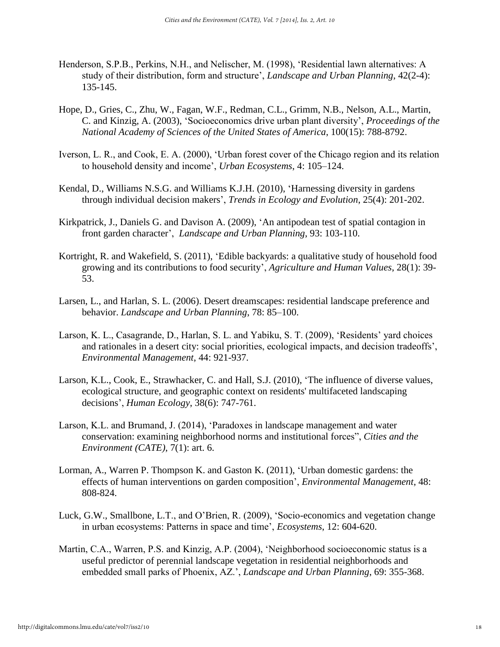- Henderson, S.P.B., Perkins, N.H., and Nelischer, M. (1998), 'Residential lawn alternatives: A study of their distribution, form and structure', *Landscape and Urban Planning*, 42(2-4): 135-145.
- Hope, D., Gries, C., Zhu, W., Fagan, W.F., Redman, C.L., Grimm, N.B., Nelson, A.L., Martin, C. and Kinzig, A. (2003), 'Socioeconomics drive urban plant diversity', *Proceedings of the National Academy of Sciences of the United States of America*, 100(15): 788-8792.
- Iverson, L. R., and Cook, E. A. (2000), 'Urban forest cover of the Chicago region and its relation to household density and income', *Urban Ecosystems*, 4: 105–124.
- Kendal, D., Williams N.S.G. and Williams K.J.H. (2010), 'Harnessing diversity in gardens through individual decision makers', *Trends in Ecology and Evolution*, 25(4): 201-202.
- Kirkpatrick, J., Daniels G. and Davison A. (2009), 'An antipodean test of spatial contagion in front garden character', *Landscape and Urban Planning*, 93: 103-110.
- Kortright, R. and Wakefield, S. (2011), 'Edible backyards: a qualitative study of household food growing and its contributions to food security', *Agriculture and Human Values*, 28(1): 39- 53.
- Larsen, L., and Harlan, S. L. (2006). Desert dreamscapes: residential landscape preference and behavior. *Landscape and Urban Planning*, 78: 85–100.
- Larson, K. L., Casagrande, D., Harlan, S. L. and Yabiku, S. T. (2009), 'Residents' yard choices and rationales in a desert city: social priorities, ecological impacts, and decision tradeoffs', *Environmental Management*, 44: 921-937.
- Larson, K.L., Cook, E., Strawhacker, C. and Hall, S.J. (2010), 'The influence of diverse values, ecological structure, and geographic context on residents' multifaceted landscaping decisions', *Human Ecology*, 38(6): 747-761.
- Larson, K.L. and Brumand, J. (2014), 'Paradoxes in landscape management and water conservation: examining neighborhood norms and institutional forces", *Cities and the Environment (CATE)*, 7(1): art. 6.
- Lorman, A., Warren P. Thompson K. and Gaston K. (2011), 'Urban domestic gardens: the effects of human interventions on garden composition', *Environmental Management*, 48: 808-824.
- Luck, G.W., Smallbone, L.T., and O'Brien, R. (2009), 'Socio-economics and vegetation change in urban ecosystems: Patterns in space and time', *Ecosystems*, 12: 604-620.
- Martin, C.A., Warren, P.S. and Kinzig, A.P. (2004), 'Neighborhood socioeconomic status is a useful predictor of perennial landscape vegetation in residential neighborhoods and embedded small parks of Phoenix, AZ.', *Landscape and Urban Planning*, 69: 355-368.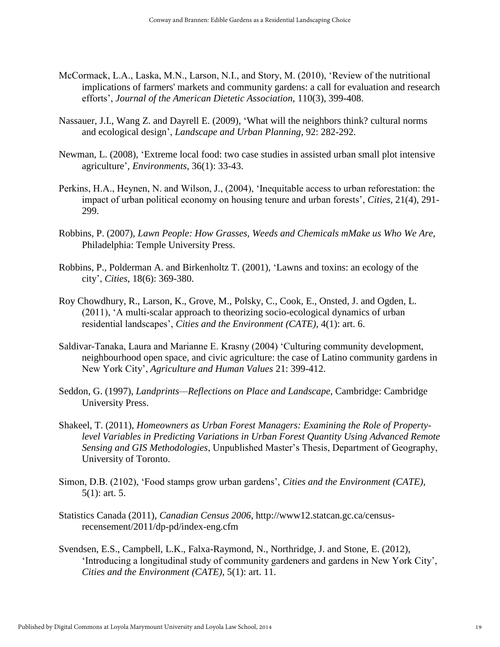- McCormack, L.A., Laska, M.N., Larson, N.I., and Story, M. (2010), 'Review of the nutritional implications of farmers' markets and community gardens: a call for evaluation and research efforts', *Journal of the American Dietetic Association,* 110(3), 399-408.
- Nassauer, J.I., Wang Z. and Dayrell E. (2009), 'What will the neighbors think? cultural norms and ecological design', *Landscape and Urban Planning*, 92: 282-292.
- Newman, L. (2008), 'Extreme local food: two case studies in assisted urban small plot intensive agriculture', *Environments*, 36(1): 33-43.
- Perkins, H.A., Heynen, N. and Wilson, J., (2004), 'Inequitable access to urban reforestation: the impact of urban political economy on housing tenure and urban forests', *Cities,* 21(4), 291- 299.
- Robbins, P. (2007), *Lawn People: How Grasses, Weeds and Chemicals mMake us Who We Are*, Philadelphia: Temple University Press.
- Robbins, P., Polderman A. and Birkenholtz T. (2001), 'Lawns and toxins: an ecology of the city', *Cities*, 18(6): 369-380.
- Roy Chowdhury, R., Larson, K., Grove, M., Polsky, C., Cook, E., Onsted, J. and Ogden, L. (2011), 'A multi-scalar approach to theorizing socio-ecological dynamics of urban residential landscapes', *Cities and the Environment (CATE)*, 4(1): art. 6.
- Saldivar-Tanaka, Laura and Marianne E. Krasny (2004) 'Culturing community development, neighbourhood open space, and civic agriculture: the case of Latino community gardens in New York City', *Agriculture and Human Values* 21: 399-412.
- Seddon, G. (1997), *Landprints—Reflections on Place and Landscape*, Cambridge: Cambridge University Press.
- Shakeel, T. (2011), *Homeowners as Urban Forest Managers: Examining the Role of Propertylevel Variables in Predicting Variations in Urban Forest Quantity Using Advanced Remote Sensing and GIS Methodologies*, Unpublished Master's Thesis, Department of Geography, University of Toronto.
- Simon, D.B. (2102), 'Food stamps grow urban gardens', *Cities and the Environment (CATE)*, 5(1): art. 5.
- Statistics Canada (2011), *Canadian Census 2006*, http://www12.statcan.gc.ca/censusrecensement/2011/dp-pd/index-eng.cfm
- Svendsen, E.S., Campbell, L.K., Falxa-Raymond, N., Northridge, J. and Stone, E. (2012), 'Introducing a longitudinal study of community gardeners and gardens in New York City', *Cities and the Environment (CATE)*, 5(1): art. 11.